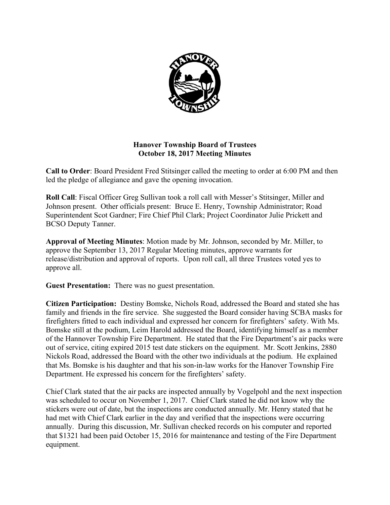

# **Hanover Township Board of Trustees October 18, 2017 Meeting Minutes**

**Call to Order**: Board President Fred Stitsinger called the meeting to order at 6:00 PM and then led the pledge of allegiance and gave the opening invocation.

**Roll Call**: Fiscal Officer Greg Sullivan took a roll call with Messer's Stitsinger, Miller and Johnson present. Other officials present: Bruce E. Henry, Township Administrator; Road Superintendent Scot Gardner; Fire Chief Phil Clark; Project Coordinator Julie Prickett and BCSO Deputy Tanner.

**Approval of Meeting Minutes**: Motion made by Mr. Johnson, seconded by Mr. Miller, to approve the September 13, 2017 Regular Meeting minutes, approve warrants for release/distribution and approval of reports. Upon roll call, all three Trustees voted yes to approve all.

**Guest Presentation:** There was no guest presentation.

**Citizen Participation:** Destiny Bomske, Nichols Road, addressed the Board and stated she has family and friends in the fire service. She suggested the Board consider having SCBA masks for firefighters fitted to each individual and expressed her concern for firefighters' safety. With Ms. Bomske still at the podium, Leim Harold addressed the Board, identifying himself as a member of the Hannover Township Fire Department. He stated that the Fire Department's air packs were out of service, citing expired 2015 test date stickers on the equipment. Mr. Scott Jenkins, 2880 Nickols Road, addressed the Board with the other two individuals at the podium. He explained that Ms. Bomske is his daughter and that his son-in-law works for the Hanover Township Fire Department. He expressed his concern for the firefighters' safety.

Chief Clark stated that the air packs are inspected annually by Vogelpohl and the next inspection was scheduled to occur on November 1, 2017. Chief Clark stated he did not know why the stickers were out of date, but the inspections are conducted annually. Mr. Henry stated that he had met with Chief Clark earlier in the day and verified that the inspections were occurring annually. During this discussion, Mr. Sullivan checked records on his computer and reported that \$1321 had been paid October 15, 2016 for maintenance and testing of the Fire Department equipment.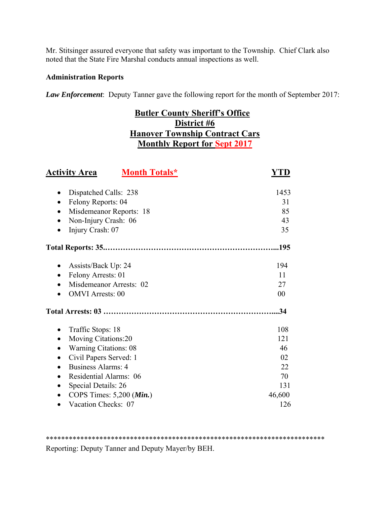Mr. Stitsinger assured everyone that safety was important to the Township. Chief Clark also noted that the State Fire Marshal conducts annual inspections as well.

# **Administration Reports**

*Law Enforcement*: Deputy Tanner gave the following report for the month of September 2017:

# **Butler County Sheriff's Office District #6 Hanover Township Contract Cars Monthly Report for Sept 2017**

| <b>Activity Area</b><br><b>Month Totals*</b>                                                                                                                                                                                                                         | YTD                                                 |
|----------------------------------------------------------------------------------------------------------------------------------------------------------------------------------------------------------------------------------------------------------------------|-----------------------------------------------------|
| Dispatched Calls: 238<br>$\bullet$<br>Felony Reports: 04<br>Misdemeanor Reports: 18<br>$\bullet$<br>Non-Injury Crash: 06<br>٠<br>Injury Crash: 07<br>$\bullet$                                                                                                       | 1453<br>31<br>85<br>43<br>35                        |
|                                                                                                                                                                                                                                                                      |                                                     |
| Assists/Back Up: 24<br>Felony Arrests: 01<br>Misdemeanor Arrests: 02<br><b>OMVI</b> Arrests: 00                                                                                                                                                                      | 194<br>11<br>27<br>00                               |
|                                                                                                                                                                                                                                                                      | .34                                                 |
| Traffic Stops: 18<br>$\bullet$<br>Moving Citations:20<br><b>Warning Citations: 08</b><br>Civil Papers Served: 1<br>Business Alarms: 4<br>$\bullet$<br>Residential Alarms: 06<br>$\bullet$<br>Special Details: 26<br>$\bullet$<br>COPS Times: $5,200$ ( <i>Min.</i> ) | 108<br>121<br>46<br>02<br>22<br>70<br>131<br>46,600 |
| Vacation Checks: 07                                                                                                                                                                                                                                                  | 126                                                 |

\*\*\*\*\*\*\*\*\*\*\*\*\*\*\*\*\*\*\*\*\*\*\*\*\*\*\*\*\*\*\*\*\*\*\*\*\*\*\*\*\*\*\*\*\*\*\*\*\*\*\*\*\*\*\*\*\*\*\*\*\*\*\*\*\*\*\*\*\*\*\*\*\*

Reporting: Deputy Tanner and Deputy Mayer/by BEH.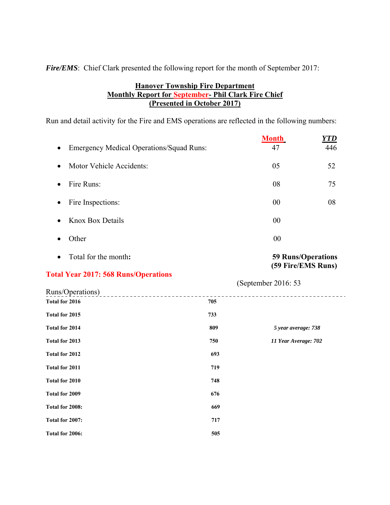*Fire/EMS*: Chief Clark presented the following report for the month of September 2017:

# **Hanover Township Fire Department Monthly Report for September- Phil Clark Fire Chief (Presented in October 2017)**

Run and detail activity for the Fire and EMS operations are reflected in the following numbers:

| <b>Emergency Medical Operations/Squad Runs:</b><br>$\bullet$ | <b>Month</b><br>47 | YTD<br>446 |
|--------------------------------------------------------------|--------------------|------------|
| Motor Vehicle Accidents:<br>$\bullet$                        | 05                 | 52         |
| Fire Runs:<br>$\bullet$                                      | 08                 | 75         |
| Fire Inspections:<br>$\bullet$                               | 00                 | 08         |
| Knox Box Details<br>$\bullet$                                | 00                 |            |
| Other                                                        | 00                 |            |

Total for the month**: 59 Runs/Operations** 

# **(59 Fire/EMS Runs)**

# **Total Year 2017: 568 Runs/Operations**

 (September 2016: 53 Runs/Operations) -------------------------**Total for 2016** 705 **Total for 2015 733 Total for 2014 809** *5 year average: 738* **Total for 2013 750** *11 Year Average: 702* **Total for 2012 693 Total for 2011** 719 **Total for 2010 748 Total for 2009** 676 **Total for 2008: 669 Total for 2007: 717 Total for 2006: 505**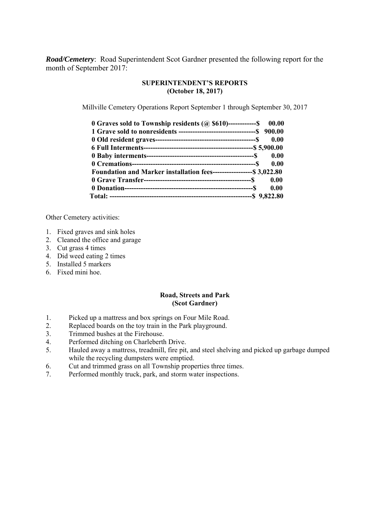*Road/Cemetery*: Road Superintendent Scot Gardner presented the following report for the month of September 2017:

### **SUPERINTENDENT'S REPORTS (October 18, 2017)**

Millville Cemetery Operations Report September 1 through September 30, 2017

| 0.00 $0$ Graves sold to Township residents ( $\omega$ \$610)------------\$ 00.00 |      |
|----------------------------------------------------------------------------------|------|
|                                                                                  |      |
|                                                                                  | 0.00 |
|                                                                                  |      |
|                                                                                  | 0.00 |
|                                                                                  | 0.00 |
| Foundation and Marker installation fees-------------------- \$3,022.80           |      |
|                                                                                  |      |
|                                                                                  |      |
|                                                                                  |      |

Other Cemetery activities:

- 1. Fixed graves and sink holes
- 2. Cleaned the office and garage
- 3. Cut grass 4 times
- 4. Did weed eating 2 times
- 5. Installed 5 markers
- 6. Fixed mini hoe.

#### **Road, Streets and Park (Scot Gardner)**

- 1. Picked up a mattress and box springs on Four Mile Road.
- 2. Replaced boards on the toy train in the Park playground.
- 3. Trimmed bushes at the Firehouse.
- 4. Performed ditching on Charleberth Drive.
- 5. Hauled away a mattress, treadmill, fire pit, and steel shelving and picked up garbage dumped while the recycling dumpsters were emptied.
- 6. Cut and trimmed grass on all Township properties three times.
- 7. Performed monthly truck, park, and storm water inspections.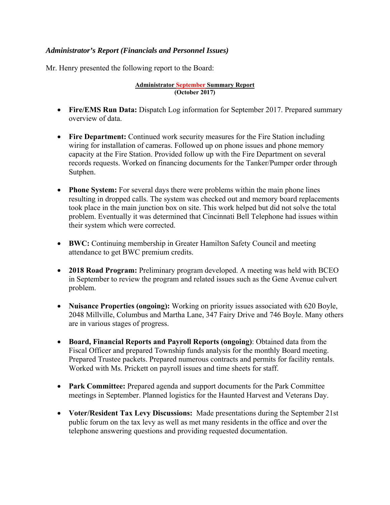# *Administrator's Report (Financials and Personnel Issues)*

Mr. Henry presented the following report to the Board:

#### **Administrator September Summary Report (October 2017)**

- **Fire/EMS Run Data:** Dispatch Log information for September 2017. Prepared summary overview of data.
- **Fire Department:** Continued work security measures for the Fire Station including wiring for installation of cameras. Followed up on phone issues and phone memory capacity at the Fire Station. Provided follow up with the Fire Department on several records requests. Worked on financing documents for the Tanker/Pumper order through Sutphen.
- **Phone System:** For several days there were problems within the main phone lines resulting in dropped calls. The system was checked out and memory board replacements took place in the main junction box on site. This work helped but did not solve the total problem. Eventually it was determined that Cincinnati Bell Telephone had issues within their system which were corrected.
- **BWC:** Continuing membership in Greater Hamilton Safety Council and meeting attendance to get BWC premium credits.
- **2018 Road Program:** Preliminary program developed. A meeting was held with BCEO in September to review the program and related issues such as the Gene Avenue culvert problem.
- **Nuisance Properties (ongoing):** Working on priority issues associated with 620 Boyle, 2048 Millville, Columbus and Martha Lane, 347 Fairy Drive and 746 Boyle. Many others are in various stages of progress.
- **Board, Financial Reports and Payroll Reports (ongoing)**: Obtained data from the Fiscal Officer and prepared Township funds analysis for the monthly Board meeting. Prepared Trustee packets. Prepared numerous contracts and permits for facility rentals. Worked with Ms. Prickett on payroll issues and time sheets for staff.
- **Park Committee:** Prepared agenda and support documents for the Park Committee meetings in September. Planned logistics for the Haunted Harvest and Veterans Day.
- **Voter/Resident Tax Levy Discussions:** Made presentations during the September 21st public forum on the tax levy as well as met many residents in the office and over the telephone answering questions and providing requested documentation.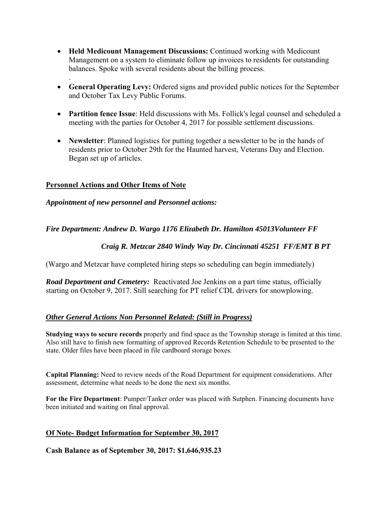- **Held Medicount Management Discussions:** Continued working with Medicount Management on a system to eliminate follow up invoices to residents for outstanding balances. Spoke with several residents about the billing process.
- **General Operating Levy:** Ordered signs and provided public notices for the September and October Tax Levy Public Forums.
- **Partition fence Issue**: Held discussions with Ms. Follick's legal counsel and scheduled a meeting with the parties for October 4, 2017 for possible settlement discussions.
- **Newsletter**: Planned logistics for putting together a newsletter to be in the hands of residents prior to October 29th for the Haunted harvest, Veterans Day and Election. Began set up of articles.

# **Personnel Actions and Other Items of Note**

.

# *Appointment of new personnel and Personnel actions:*

# *Fire Department: Andrew D. Wargo 1176 Elizabeth Dr. Hamilton 45013Volunteer FF*

# *Craig R. Metzcar 2840 Windy Way Dr. Cincinnati 45251 FF/EMT B PT*

(Wargo and Metzcar have completed hiring steps so scheduling can begin immediately)

*Road Department and Cemetery:* Reactivated Joe Jenkins on a part time status, officially starting on October 9, 2017. Still searching for PT relief CDL drivers for snowplowing.

# *Other General Actions Non Personnel Related: (Still in Progress)*

**Studying ways to secure records** properly and find space as the Township storage is limited at this time. Also still have to finish new formatting of approved Records Retention Schedule to be presented to the state. Older files have been placed in file cardboard storage boxes.

**Capital Planning:** Need to review needs of the Road Department for equipment considerations. After assessment, determine what needs to be done the next six months.

**For the Fire Department**: Pumper/Tanker order was placed with Sutphen. Financing documents have been initiated and waiting on final approval.

# **Of Note- Budget Information for September 30, 2017**

**Cash Balance as of September 30, 2017: \$1,646,935.23**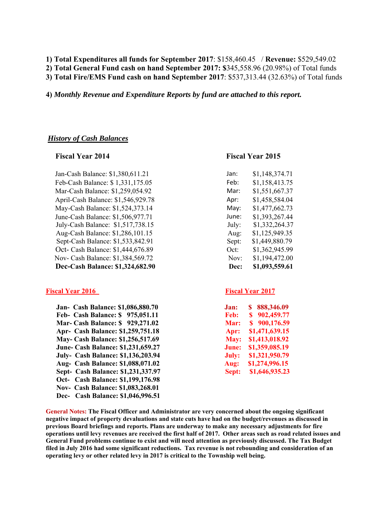**1) Total Expenditures all funds for September 2017**: \$158,460.45 / **Revenue:** \$529,549.02 **2) Total General Fund cash on hand September 2017: \$**345,558.96 (20.98%) of Total funds

**3) Total Fire/EMS Fund cash on hand September 2017**: \$537,313.44 (32.63%) of Total funds

**4)** *Monthly Revenue and Expenditure Reports by fund are attached to this report.* 

#### *History of Cash Balances*

Jan-Cash Balance: \$1,380,611.21 Feb-Cash Balance: \$1,331,175.05 Mar-Cash Balance: \$1,259,054.92 April-Cash Balance: \$1,546,929.78 May-Cash Balance: \$1,524,373.14 June-Cash Balance: \$1,506,977.71 July-Cash Balance: \$1,517,738.15 Aug-Cash Balance: \$1,286,101.15 Sept-Cash Balance: \$1,533,842.91 Oct- Cash Balance: \$1,444,676.89 Nov- Cash Balance: \$1,384,569.72 **Dec-Cash Balance: \$1,324,682.90** 

#### **Fiscal Year 2016** Fiscal Year 2017

 **Jan- Cash Balance: \$1,086,880.70 Feb- Cash Balance: \$ 975,051.11 Mar- Cash Balance: \$ 929,271.02 Apr- Cash Balance: \$1,259,751.18 May- Cash Balance: \$1,256,517.69 June- Cash Balance: \$1,231,659.27 July- Cash Balance: \$1,136,203.94 Aug- Cash Balance: \$1,088,071.02 Sept- Cash Balance: \$1,231,337.97 Oct- Cash Balance: \$1,199,176.98 Nov- Cash Balance: \$1,083,268.01 Dec- Cash Balance: \$1,046,996.51** 

#### **Fiscal Year 2014 Fiscal Year 2015**

| \$1,148,374.71 |
|----------------|
| \$1,158,413.75 |
| \$1,551,667.37 |
| \$1,458,584.04 |
| \$1,477,662.73 |
| \$1,393,267.44 |
| \$1,332,264.37 |
| \$1,125,949.35 |
| \$1,449,880.79 |
| \$1,362,945.99 |
| \$1,194,472.00 |
| \$1,093,559.61 |
|                |

| .lan: | 888,346.09<br>S |
|-------|-----------------|
| Feb:  | 902,459.77<br>S |
| Mar:  | 900,176.59<br>S |
| Apr:  | \$1,471,639.15  |
| May:  | \$1,413,018.92  |
| June: | \$1,359,085.19  |
| July: | \$1,321,950.79  |
| Aug:  | \$1,274,996.15  |
| Sept: | \$1,646,935.23  |

**General Notes: The Fiscal Officer and Administrator are very concerned about the ongoing significant negative impact of property devaluations and state cuts have had on the budget/revenues as discussed in previous Board briefings and reports. Plans are underway to make any necessary adjustments for fire operations until levy revenues are received the first half of 2017. Other areas such as road related issues and General Fund problems continue to exist and will need attention as previously discussed. The Tax Budget filed in July 2016 had some significant reductions. Tax revenue is not rebounding and consideration of an operating levy or other related levy in 2017 is critical to the Township well being.**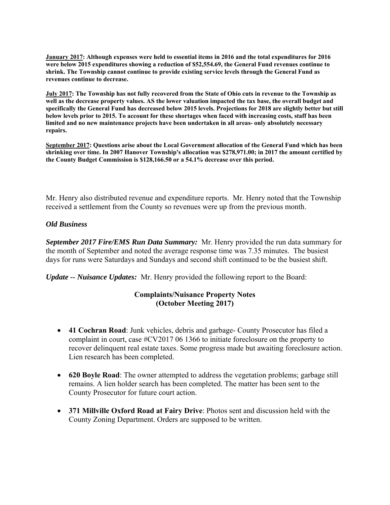**January 2017: Although expenses were held to essential items in 2016 and the total expenditures for 2016 were below 2015 expenditures showing a reduction of \$52,554.69, the General Fund revenues continue to shrink. The Township cannot continue to provide existing service levels through the General Fund as revenues continue to decrease.** 

**July 2017: The Township has not fully recovered from the State of Ohio cuts in revenue to the Township as well as the decrease property values. AS the lower valuation impacted the tax base, the overall budget and specifically the General Fund has decreased below 2015 levels. Projections for 2018 are slightly better but still below levels prior to 2015. To account for these shortages when faced with increasing costs, staff has been limited and no new maintenance projects have been undertaken in all areas- only absolutely necessary repairs.** 

**September 2017: Questions arise about the Local Government allocation of the General Fund which has been shrinking over time. In 2007 Hanover Township's allocation was \$278,971.00; in 2017 the amount certified by the County Budget Commission is \$128,166.50 or a 54.1% decrease over this period.** 

Mr. Henry also distributed revenue and expenditure reports. Mr. Henry noted that the Township received a settlement from the County so revenues were up from the previous month.

# *Old Business*

*September 2017 Fire/EMS Run Data Summary:* Mr. Henry provided the run data summary for the month of September and noted the average response time was 7.35 minutes. The busiest days for runs were Saturdays and Sundays and second shift continued to be the busiest shift.

*Update -- Nuisance Updates:* Mr. Henry provided the following report to the Board:

# **Complaints/Nuisance Property Notes (October Meeting 2017)**

- **41 Cochran Road**: Junk vehicles, debris and garbage- County Prosecutor has filed a complaint in court, case #CV2017 06 1366 to initiate foreclosure on the property to recover delinquent real estate taxes. Some progress made but awaiting foreclosure action. Lien research has been completed.
- **620 Boyle Road**: The owner attempted to address the vegetation problems; garbage still remains. A lien holder search has been completed. The matter has been sent to the County Prosecutor for future court action.
- **371 Millville Oxford Road at Fairy Drive**: Photos sent and discussion held with the County Zoning Department. Orders are supposed to be written.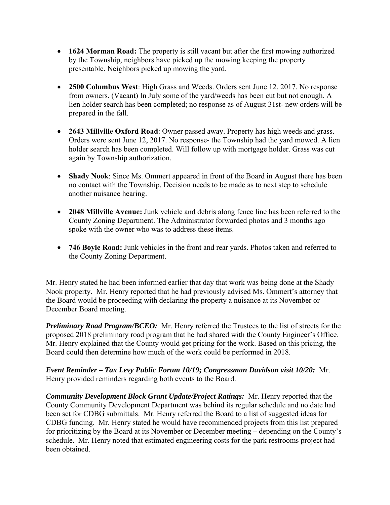- **1624 Morman Road:** The property is still vacant but after the first mowing authorized by the Township, neighbors have picked up the mowing keeping the property presentable. Neighbors picked up mowing the yard.
- **2500 Columbus West**: High Grass and Weeds. Orders sent June 12, 2017. No response from owners. (Vacant) In July some of the yard/weeds has been cut but not enough. A lien holder search has been completed; no response as of August 31st- new orders will be prepared in the fall.
- **2643 Millville Oxford Road**: Owner passed away. Property has high weeds and grass. Orders were sent June 12, 2017. No response- the Township had the yard mowed. A lien holder search has been completed. Will follow up with mortgage holder. Grass was cut again by Township authorization.
- **Shady Nook**: Since Ms. Ommert appeared in front of the Board in August there has been no contact with the Township. Decision needs to be made as to next step to schedule another nuisance hearing.
- **2048 Millville Avenue:** Junk vehicle and debris along fence line has been referred to the County Zoning Department. The Administrator forwarded photos and 3 months ago spoke with the owner who was to address these items.
- **746 Boyle Road:** Junk vehicles in the front and rear yards. Photos taken and referred to the County Zoning Department.

Mr. Henry stated he had been informed earlier that day that work was being done at the Shady Nook property. Mr. Henry reported that he had previously advised Ms. Ommert's attorney that the Board would be proceeding with declaring the property a nuisance at its November or December Board meeting.

*Preliminary Road Program/BCEO:* Mr. Henry referred the Trustees to the list of streets for the proposed 2018 preliminary road program that he had shared with the County Engineer's Office. Mr. Henry explained that the County would get pricing for the work. Based on this pricing, the Board could then determine how much of the work could be performed in 2018.

*Event Reminder – Tax Levy Public Forum 10/19; Congressman Davidson visit 10/20:* Mr. Henry provided reminders regarding both events to the Board.

*Community Development Block Grant Update/Project Ratings:* Mr. Henry reported that the County Community Development Department was behind its regular schedule and no date had been set for CDBG submittals. Mr. Henry referred the Board to a list of suggested ideas for CDBG funding. Mr. Henry stated he would have recommended projects from this list prepared for prioritizing by the Board at its November or December meeting – depending on the County's schedule. Mr. Henry noted that estimated engineering costs for the park restrooms project had been obtained.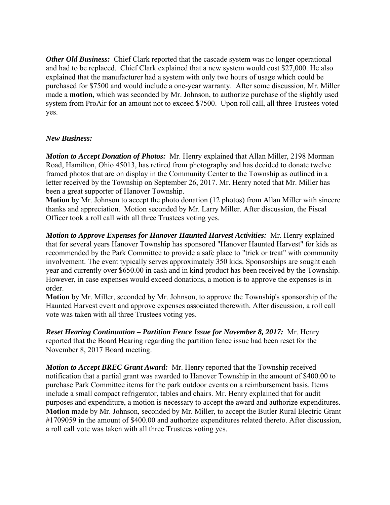*Other Old Business:* Chief Clark reported that the cascade system was no longer operational and had to be replaced. Chief Clark explained that a new system would cost \$27,000. He also explained that the manufacturer had a system with only two hours of usage which could be purchased for \$7500 and would include a one-year warranty. After some discussion, Mr. Miller made a **motion,** which was seconded by Mr. Johnson, to authorize purchase of the slightly used system from ProAir for an amount not to exceed \$7500. Upon roll call, all three Trustees voted yes.

# *New Business:*

*Motion to Accept Donation of Photos:* Mr. Henry explained that Allan Miller, 2198 Morman Road, Hamilton, Ohio 45013, has retired from photography and has decided to donate twelve framed photos that are on display in the Community Center to the Township as outlined in a letter received by the Township on September 26, 2017. Mr. Henry noted that Mr. Miller has been a great supporter of Hanover Township.

**Motion** by Mr. Johnson to accept the photo donation (12 photos) from Allan Miller with sincere thanks and appreciation. Motion seconded by Mr. Larry Miller. After discussion, the Fiscal Officer took a roll call with all three Trustees voting yes.

*Motion to Approve Expenses for Hanover Haunted Harvest Activities:* Mr. Henry explained that for several years Hanover Township has sponsored "Hanover Haunted Harvest" for kids as recommended by the Park Committee to provide a safe place to "trick or treat" with community involvement. The event typically serves approximately 350 kids. Sponsorships are sought each year and currently over \$650.00 in cash and in kind product has been received by the Township. However, in case expenses would exceed donations, a motion is to approve the expenses is in order.

**Motion** by Mr. Miller, seconded by Mr. Johnson, to approve the Township's sponsorship of the Haunted Harvest event and approve expenses associated therewith. After discussion, a roll call vote was taken with all three Trustees voting yes.

*Reset Hearing Continuation – Partition Fence Issue for November 8, 2017:* Mr. Henry reported that the Board Hearing regarding the partition fence issue had been reset for the November 8, 2017 Board meeting.

*Motion to Accept BREC Grant Award:* Mr. Henry reported that the Township received notification that a partial grant was awarded to Hanover Township in the amount of \$400.00 to purchase Park Committee items for the park outdoor events on a reimbursement basis. Items include a small compact refrigerator, tables and chairs. Mr. Henry explained that for audit purposes and expenditure, a motion is necessary to accept the award and authorize expenditures. **Motion** made by Mr. Johnson, seconded by Mr. Miller, to accept the Butler Rural Electric Grant #1709059 in the amount of \$400.00 and authorize expenditures related thereto. After discussion, a roll call vote was taken with all three Trustees voting yes.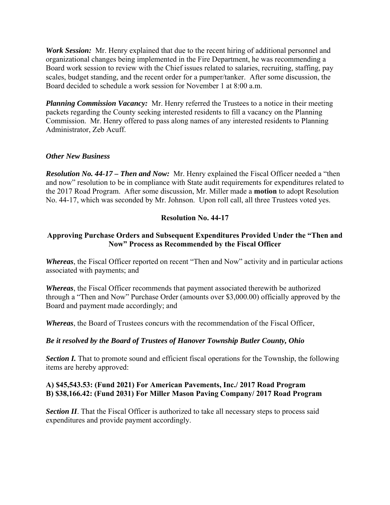*Work Session:* Mr. Henry explained that due to the recent hiring of additional personnel and organizational changes being implemented in the Fire Department, he was recommending a Board work session to review with the Chief issues related to salaries, recruiting, staffing, pay scales, budget standing, and the recent order for a pumper/tanker. After some discussion, the Board decided to schedule a work session for November 1 at 8:00 a.m.

*Planning Commission Vacancy:* Mr. Henry referred the Trustees to a notice in their meeting packets regarding the County seeking interested residents to fill a vacancy on the Planning Commission. Mr. Henry offered to pass along names of any interested residents to Planning Administrator, Zeb Acuff.

# *Other New Business*

*Resolution No. 44-17 – Then and Now:* Mr. Henry explained the Fiscal Officer needed a "then and now" resolution to be in compliance with State audit requirements for expenditures related to the 2017 Road Program. After some discussion, Mr. Miller made a **motion** to adopt Resolution No. 44-17, which was seconded by Mr. Johnson. Upon roll call, all three Trustees voted yes.

# **Resolution No. 44-17**

# **Approving Purchase Orders and Subsequent Expenditures Provided Under the "Then and Now" Process as Recommended by the Fiscal Officer**

*Whereas*, the Fiscal Officer reported on recent "Then and Now" activity and in particular actions associated with payments; and

*Whereas*, the Fiscal Officer recommends that payment associated therewith be authorized through a "Then and Now" Purchase Order (amounts over \$3,000.00) officially approved by the Board and payment made accordingly; and

*Whereas*, the Board of Trustees concurs with the recommendation of the Fiscal Officer,

# *Be it resolved by the Board of Trustees of Hanover Township Butler County, Ohio*

**Section I.** That to promote sound and efficient fiscal operations for the Township, the following items are hereby approved:

# **A) \$45,543.53: (Fund 2021) For American Pavements, Inc./ 2017 Road Program B) \$38,166.42: (Fund 2031) For Miller Mason Paving Company/ 2017 Road Program**

**Section II**. That the Fiscal Officer is authorized to take all necessary steps to process said expenditures and provide payment accordingly.